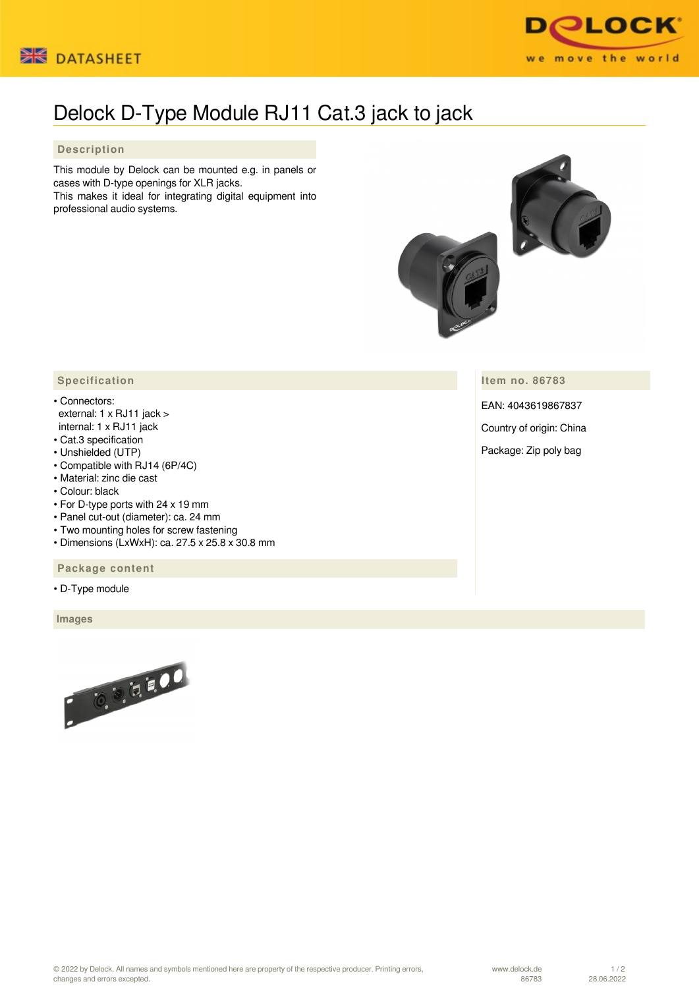



## Delock D-Type Module RJ11 Cat.3 jack to jack

## **Description**

This module by Delock can be mounted e.g. in panels or cases with D-type openings for XLR jacks. This makes it ideal for integrating digital equipment into

professional audio systems.



**Item no. 86783**

EAN: 4043619867837

Country of origin: China

Package: Zip poly bag

## **Specification**

- Connectors: external: 1 x RJ11 jack > internal: 1 x RJ11 jack
- Cat.3 specification
- Unshielded (UTP)
- Compatible with RJ14 (6P/4C)
- Material: zinc die cast
- Colour: black
- For D-type ports with 24 x 19 mm
- Panel cut-out (diameter): ca. 24 mm
- Two mounting holes for screw fastening
- Dimensions (LxWxH): ca. 27.5 x 25.8 x 30.8 mm

## **Package content**

• D-Type module

 **Images**